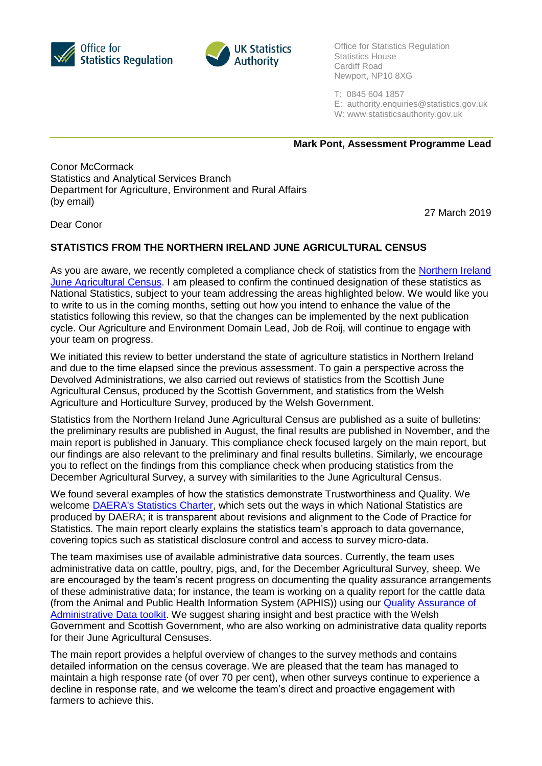



Office for Statistics Regulation Statistics House Cardiff Road Newport, NP10 8XG

T: 0845 604 1857

E: [authority.enquiries@statistics.gov.uk](mailto:authority.enquiries@statistics.gov.uk)

W: www.statisticsauthority.gov.uk

**Mark Pont, Assessment Programme Lead**

Conor McCormack Statistics and Analytical Services Branch Department for Agriculture, Environment and Rural Affairs (by email)

27 March 2019

Dear Conor

## **STATISTICS FROM THE NORTHERN IRELAND JUNE AGRICULTURAL CENSUS**

As you are aware, we recently completed a compliance check of statistics from the Northern Ireland [June Agricultural Census.](https://www.daera-ni.gov.uk/articles/agricultural-census-northern-ireland) I am pleased to confirm the continued designation of these statistics as National Statistics, subject to your team addressing the areas highlighted below. We would like you to write to us in the coming months, setting out how you intend to enhance the value of the statistics following this review, so that the changes can be implemented by the next publication cycle. Our Agriculture and Environment Domain Lead, Job de Roij, will continue to engage with your team on progress.

We initiated this review to better understand the state of agriculture statistics in Northern Ireland and due to the time elapsed since the previous assessment. To gain a perspective across the Devolved Administrations, we also carried out reviews of statistics from the Scottish June Agricultural Census, produced by the Scottish Government, and statistics from the Welsh Agriculture and Horticulture Survey, produced by the Welsh Government.

Statistics from the Northern Ireland June Agricultural Census are published as a suite of bulletins: the preliminary results are published in August, the final results are published in November, and the main report is published in January. This compliance check focused largely on the main report, but our findings are also relevant to the preliminary and final results bulletins. Similarly, we encourage you to reflect on the findings from this compliance check when producing statistics from the December Agricultural Survey, a survey with similarities to the June Agricultural Census.

We found several examples of how the statistics demonstrate Trustworthiness and Quality. We welcome [DAERA's Statistics Charter,](https://www.daera-ni.gov.uk/publications/daeras-statistics-charter) which sets out the ways in which National Statistics are produced by DAERA; it is transparent about revisions and alignment to the Code of Practice for Statistics. The main report clearly explains the statistics team's approach to data governance, covering topics such as statistical disclosure control and access to survey micro-data.

The team maximises use of available administrative data sources. Currently, the team uses administrative data on cattle, poultry, pigs, and, for the December Agricultural Survey, sheep. We are encouraged by the team's recent progress on documenting the quality assurance arrangements of these administrative data; for instance, the team is working on a quality report for the cattle data (from the Animal and Public Health Information System (APHIS)) using our [Quality Assurance of](https://www.statisticsauthority.gov.uk/osr/what-we-do/systemic-reviews/administrative-data-and-official-statistics/)  [Administrative Data toolkit.](https://www.statisticsauthority.gov.uk/osr/what-we-do/systemic-reviews/administrative-data-and-official-statistics/) We suggest sharing insight and best practice with the Welsh Government and Scottish Government, who are also working on administrative data quality reports for their June Agricultural Censuses.

The main report provides a helpful overview of changes to the survey methods and contains detailed information on the census coverage. We are pleased that the team has managed to maintain a high response rate (of over 70 per cent), when other surveys continue to experience a decline in response rate, and we welcome the team's direct and proactive engagement with farmers to achieve this.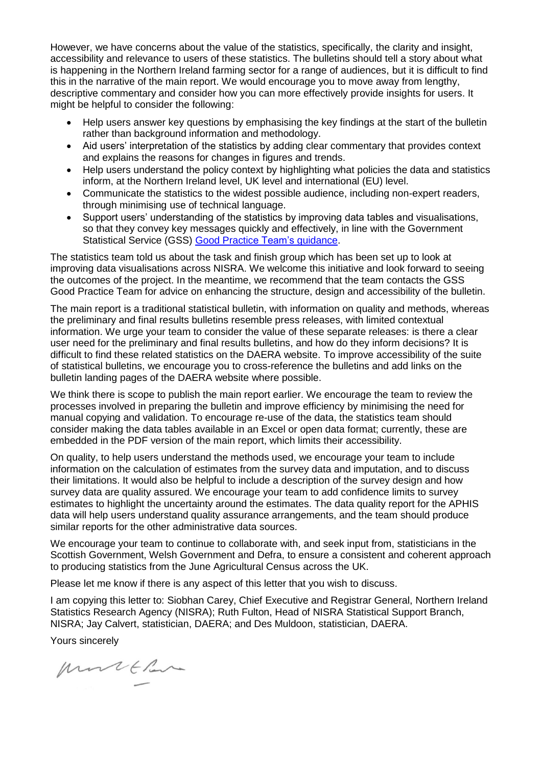However, we have concerns about the value of the statistics, specifically, the clarity and insight, accessibility and relevance to users of these statistics. The bulletins should tell a story about what is happening in the Northern Ireland farming sector for a range of audiences, but it is difficult to find this in the narrative of the main report. We would encourage you to move away from lengthy, descriptive commentary and consider how you can more effectively provide insights for users. It might be helpful to consider the following:

- Help users answer key questions by emphasising the key findings at the start of the bulletin rather than background information and methodology.
- Aid users' interpretation of the statistics by adding clear commentary that provides context and explains the reasons for changes in figures and trends.
- Help users understand the policy context by highlighting what policies the data and statistics inform, at the Northern Ireland level, UK level and international (EU) level.
- Communicate the statistics to the widest possible audience, including non-expert readers, through minimising use of technical language.
- Support users' understanding of the statistics by improving data tables and visualisations, so that they convey key messages quickly and effectively, in line with the Government Statistical Service (GSS) [Good Practice Team's](https://gss.civilservice.gov.uk/policy-store/effective-graphs-and-tables-in-official-statistics/) guidance.

The statistics team told us about the task and finish group which has been set up to look at improving data visualisations across NISRA. We welcome this initiative and look forward to seeing the outcomes of the project. In the meantime, we recommend that the team contacts the GSS Good Practice Team for advice on enhancing the structure, design and accessibility of the bulletin.

The main report is a traditional statistical bulletin, with information on quality and methods, whereas the preliminary and final results bulletins resemble press releases, with limited contextual information. We urge your team to consider the value of these separate releases: is there a clear user need for the preliminary and final results bulletins, and how do they inform decisions? It is difficult to find these related statistics on the DAERA website. To improve accessibility of the suite of statistical bulletins, we encourage you to cross-reference the bulletins and add links on the bulletin landing pages of the DAERA website where possible.

We think there is scope to publish the main report earlier. We encourage the team to review the processes involved in preparing the bulletin and improve efficiency by minimising the need for manual copying and validation. To encourage re-use of the data, the statistics team should consider making the data tables available in an Excel or open data format; currently, these are embedded in the PDF version of the main report, which limits their accessibility.

On quality, to help users understand the methods used, we encourage your team to include information on the calculation of estimates from the survey data and imputation, and to discuss their limitations. It would also be helpful to include a description of the survey design and how survey data are quality assured. We encourage your team to add confidence limits to survey estimates to highlight the uncertainty around the estimates. The data quality report for the APHIS data will help users understand quality assurance arrangements, and the team should produce similar reports for the other administrative data sources.

We encourage your team to continue to collaborate with, and seek input from, statisticians in the Scottish Government, Welsh Government and Defra, to ensure a consistent and coherent approach to producing statistics from the June Agricultural Census across the UK.

Please let me know if there is any aspect of this letter that you wish to discuss.

I am copying this letter to: Siobhan Carey, Chief Executive and Registrar General, Northern Ireland Statistics Research Agency (NISRA); Ruth Fulton, Head of NISRA Statistical Support Branch, NISRA; Jay Calvert, statistician, DAERA; and Des Muldoon, statistician, DAERA.

Yours sincerely

Murtthan